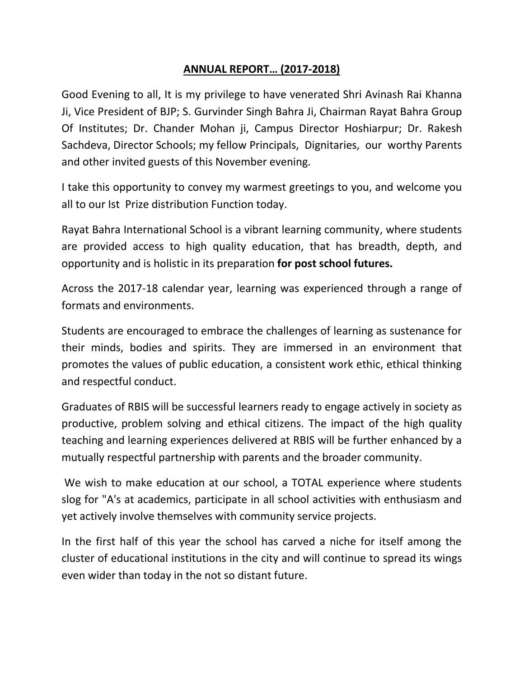## **ANNUAL REPORT… (2017-2018)**

Good Evening to all, It is my privilege to have venerated Shri Avinash Rai Khanna Ji, Vice President of BJP; S. Gurvinder Singh Bahra Ji, Chairman Rayat Bahra Group Of Institutes; Dr. Chander Mohan ji, Campus Director Hoshiarpur; Dr. Rakesh Sachdeva, Director Schools; my fellow Principals, Dignitaries, our worthy Parents and other invited guests of this November evening.

I take this opportunity to convey my warmest greetings to you, and welcome you all to our Ist Prize distribution Function today.

Rayat Bahra International School is a vibrant learning community, where students are provided access to high quality education, that has breadth, depth, and opportunity and is holistic in its preparation **for post school futures.**

Across the 2017-18 calendar year, learning was experienced through a range of formats and environments.

Students are encouraged to embrace the challenges of learning as sustenance for their minds, bodies and spirits. They are immersed in an environment that promotes the values of public education, a consistent work ethic, ethical thinking and respectful conduct.

Graduates of RBIS will be successful learners ready to engage actively in society as productive, problem solving and ethical citizens. The impact of the high quality teaching and learning experiences delivered at RBIS will be further enhanced by a mutually respectful partnership with parents and the broader community.

 We wish to make education at our school, a TOTAL experience where students slog for "A's at academics, participate in all school activities with enthusiasm and yet actively involve themselves with community service projects.

In the first half of this year the school has carved a niche for itself among the cluster of educational institutions in the city and will continue to spread its wings even wider than today in the not so distant future.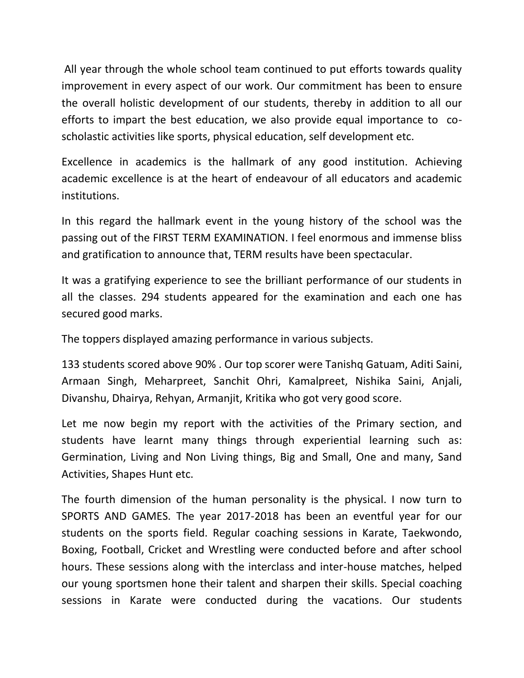All year through the whole school team continued to put efforts towards quality improvement in every aspect of our work. Our commitment has been to ensure the overall holistic development of our students, thereby in addition to all our efforts to impart the best education, we also provide equal importance to coscholastic activities like sports, physical education, self development etc.

Excellence in academics is the hallmark of any good institution. Achieving academic excellence is at the heart of endeavour of all educators and academic institutions.

In this regard the hallmark event in the young history of the school was the passing out of the FIRST TERM EXAMINATION. I feel enormous and immense bliss and gratification to announce that, TERM results have been spectacular.

It was a gratifying experience to see the brilliant performance of our students in all the classes. 294 students appeared for the examination and each one has secured good marks.

The toppers displayed amazing performance in various subjects.

133 students scored above 90% . Our top scorer were Tanishq Gatuam, Aditi Saini, Armaan Singh, Meharpreet, Sanchit Ohri, Kamalpreet, Nishika Saini, Anjali, Divanshu, Dhairya, Rehyan, Armanjit, Kritika who got very good score.

Let me now begin my report with the activities of the Primary section, and students have learnt many things through experiential learning such as: Germination, Living and Non Living things, Big and Small, One and many, Sand Activities, Shapes Hunt etc.

The fourth dimension of the human personality is the physical. I now turn to SPORTS AND GAMES. The year 2017-2018 has been an eventful year for our students on the sports field. Regular coaching sessions in Karate, Taekwondo, Boxing, Football, Cricket and Wrestling were conducted before and after school hours. These sessions along with the interclass and inter-house matches, helped our young sportsmen hone their talent and sharpen their skills. Special coaching sessions in Karate were conducted during the vacations. Our students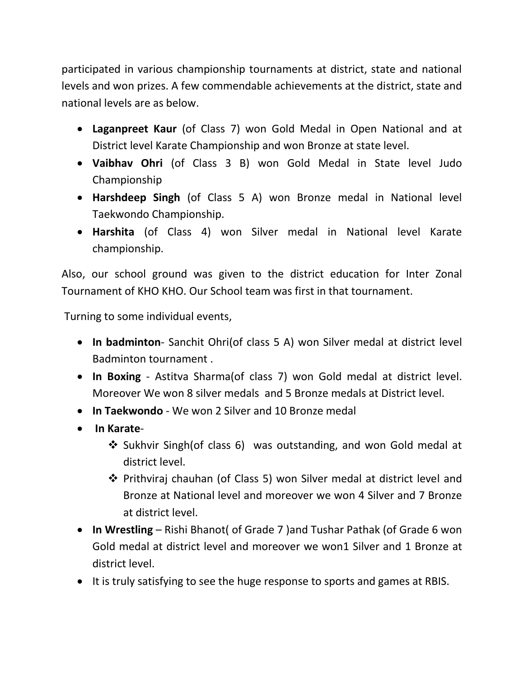participated in various championship tournaments at district, state and national levels and won prizes. A few commendable achievements at the district, state and national levels are as below.

- **Laganpreet Kaur** (of Class 7) won Gold Medal in Open National and at District level Karate Championship and won Bronze at state level.
- **Vaibhav Ohri** (of Class 3 B) won Gold Medal in State level Judo Championship
- **Harshdeep Singh** (of Class 5 A) won Bronze medal in National level Taekwondo Championship.
- **Harshita** (of Class 4) won Silver medal in National level Karate championship.

Also, our school ground was given to the district education for Inter Zonal Tournament of KHO KHO. Our School team was first in that tournament.

Turning to some individual events,

- **In badminton** Sanchit Ohri(of class 5 A) won Silver medal at district level Badminton tournament .
- **In Boxing** Astitva Sharma(of class 7) won Gold medal at district level. Moreover We won 8 silver medals and 5 Bronze medals at District level.
- **In Taekwondo** We won 2 Silver and 10 Bronze medal
- **In Karate**
	- Sukhvir Singh(of class 6) was outstanding, and won Gold medal at district level.
	- Prithviraj chauhan (of Class 5) won Silver medal at district level and Bronze at National level and moreover we won 4 Silver and 7 Bronze at district level.
- **In Wrestling** Rishi Bhanot( of Grade 7 )and Tushar Pathak (of Grade 6 won Gold medal at district level and moreover we won1 Silver and 1 Bronze at district level.
- It is truly satisfying to see the huge response to sports and games at RBIS.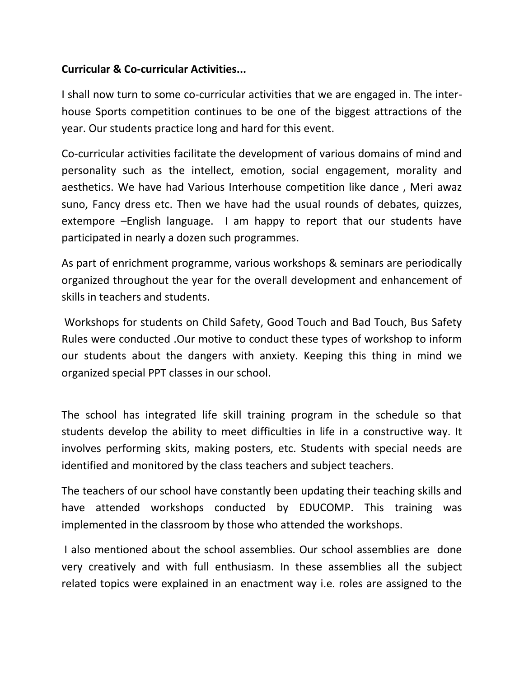## **Curricular & Co-curricular Activities...**

I shall now turn to some co-curricular activities that we are engaged in. The interhouse Sports competition continues to be one of the biggest attractions of the year. Our students practice long and hard for this event.

Co-curricular activities facilitate the development of various domains of mind and personality such as the intellect, emotion, social engagement, morality and aesthetics. We have had Various Interhouse competition like dance , Meri awaz suno, Fancy dress etc. Then we have had the usual rounds of debates, quizzes, extempore –English language. I am happy to report that our students have participated in nearly a dozen such programmes.

As part of enrichment programme, various workshops & seminars are periodically organized throughout the year for the overall development and enhancement of skills in teachers and students.

 Workshops for students on Child Safety, Good Touch and Bad Touch, Bus Safety Rules were conducted .Our motive to conduct these types of workshop to inform our students about the dangers with anxiety. Keeping this thing in mind we organized special PPT classes in our school.

The school has integrated life skill training program in the schedule so that students develop the ability to meet difficulties in life in a constructive way. It involves performing skits, making posters, etc. Students with special needs are identified and monitored by the class teachers and subject teachers.

The teachers of our school have constantly been updating their teaching skills and have attended workshops conducted by EDUCOMP. This training was implemented in the classroom by those who attended the workshops.

 I also mentioned about the school assemblies. Our school assemblies are done very creatively and with full enthusiasm. In these assemblies all the subject related topics were explained in an enactment way i.e. roles are assigned to the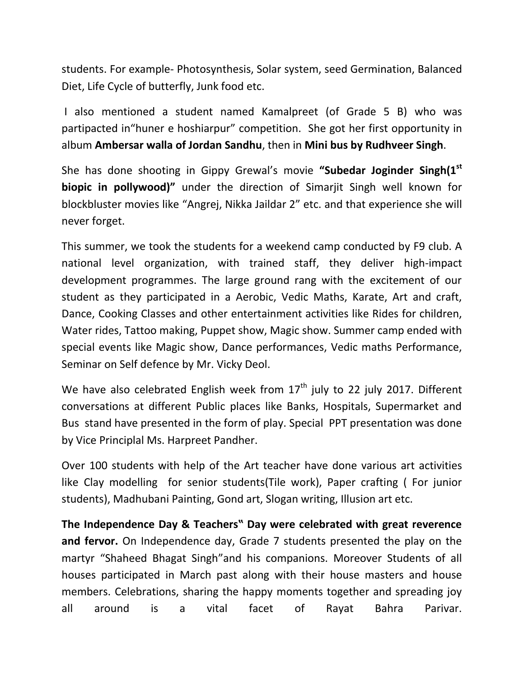students. For example- Photosynthesis, Solar system, seed Germination, Balanced Diet, Life Cycle of butterfly, Junk food etc.

 I also mentioned a student named Kamalpreet (of Grade 5 B) who was partipacted in"huner e hoshiarpur" competition. She got her first opportunity in album **Ambersar walla of Jordan Sandhu**, then in **Mini bus by Rudhveer Singh**.

She has done shooting in Gippy Grewal's movie **"Subedar Joginder Singh(1st biopic in pollywood)"** under the direction of Simarjit Singh well known for blockbluster movies like "Angrej, Nikka Jaildar 2" etc. and that experience she will never forget.

This summer, we took the students for a weekend camp conducted by F9 club. A national level organization, with trained staff, they deliver high-impact development programmes. The large ground rang with the excitement of our student as they participated in a Aerobic, Vedic Maths, Karate, Art and craft, Dance, Cooking Classes and other entertainment activities like Rides for children, Water rides, Tattoo making, Puppet show, Magic show. Summer camp ended with special events like Magic show, Dance performances, Vedic maths Performance, Seminar on Self defence by Mr. Vicky Deol.

We have also celebrated English week from  $17<sup>th</sup>$  july to 22 july 2017. Different conversations at different Public places like Banks, Hospitals, Supermarket and Bus stand have presented in the form of play. Special PPT presentation was done by Vice Principlal Ms. Harpreet Pandher.

Over 100 students with help of the Art teacher have done various art activities like Clay modelling for senior students(Tile work), Paper crafting ( For junior students), Madhubani Painting, Gond art, Slogan writing, Illusion art etc.

**The Independence Day & Teachers" Day were celebrated with great reverence and fervor.** On Independence day, Grade 7 students presented the play on the martyr "Shaheed Bhagat Singh"and his companions. Moreover Students of all houses participated in March past along with their house masters and house members. Celebrations, sharing the happy moments together and spreading joy all around is a vital facet of Rayat Bahra Parivar.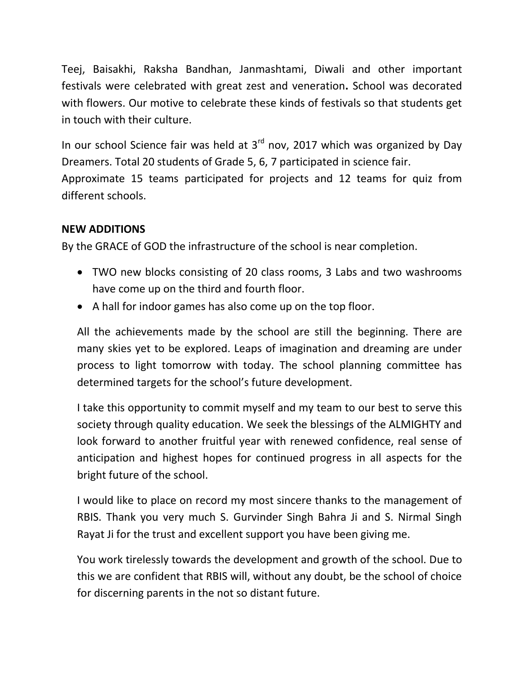Teej, Baisakhi, Raksha Bandhan, Janmashtami, Diwali and other important festivals were celebrated with great zest and veneration**.** School was decorated with flowers. Our motive to celebrate these kinds of festivals so that students get in touch with their culture.

In our school Science fair was held at  $3<sup>rd</sup>$  nov, 2017 which was organized by Day Dreamers. Total 20 students of Grade 5, 6, 7 participated in science fair. Approximate 15 teams participated for projects and 12 teams for quiz from different schools.

## **NEW ADDITIONS**

By the GRACE of GOD the infrastructure of the school is near completion.

- TWO new blocks consisting of 20 class rooms, 3 Labs and two washrooms have come up on the third and fourth floor.
- A hall for indoor games has also come up on the top floor.

All the achievements made by the school are still the beginning. There are many skies yet to be explored. Leaps of imagination and dreaming are under process to light tomorrow with today. The school planning committee has determined targets for the school's future development.

I take this opportunity to commit myself and my team to our best to serve this society through quality education. We seek the blessings of the ALMIGHTY and look forward to another fruitful year with renewed confidence, real sense of anticipation and highest hopes for continued progress in all aspects for the bright future of the school.

I would like to place on record my most sincere thanks to the management of RBIS. Thank you very much S. Gurvinder Singh Bahra Ji and S. Nirmal Singh Rayat Ji for the trust and excellent support you have been giving me.

You work tirelessly towards the development and growth of the school. Due to this we are confident that RBIS will, without any doubt, be the school of choice for discerning parents in the not so distant future.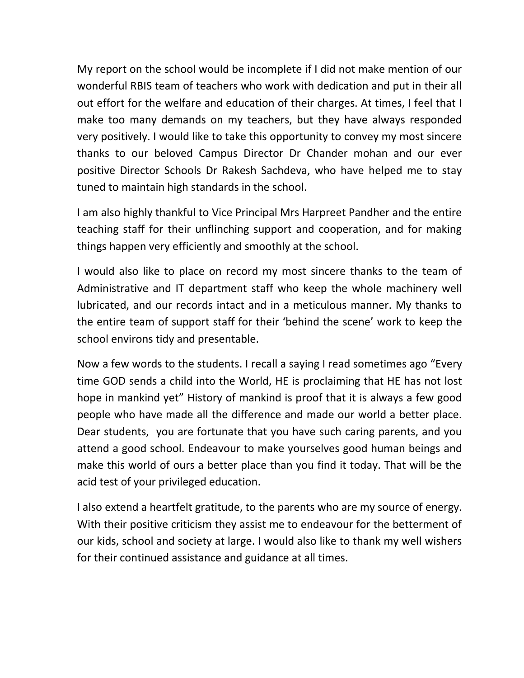My report on the school would be incomplete if I did not make mention of our wonderful RBIS team of teachers who work with dedication and put in their all out effort for the welfare and education of their charges. At times, I feel that I make too many demands on my teachers, but they have always responded very positively. I would like to take this opportunity to convey my most sincere thanks to our beloved Campus Director Dr Chander mohan and our ever positive Director Schools Dr Rakesh Sachdeva, who have helped me to stay tuned to maintain high standards in the school.

I am also highly thankful to Vice Principal Mrs Harpreet Pandher and the entire teaching staff for their unflinching support and cooperation, and for making things happen very efficiently and smoothly at the school.

I would also like to place on record my most sincere thanks to the team of Administrative and IT department staff who keep the whole machinery well lubricated, and our records intact and in a meticulous manner. My thanks to the entire team of support staff for their 'behind the scene' work to keep the school environs tidy and presentable.

Now a few words to the students. I recall a saying I read sometimes ago "Every time GOD sends a child into the World, HE is proclaiming that HE has not lost hope in mankind yet" History of mankind is proof that it is always a few good people who have made all the difference and made our world a better place. Dear students, you are fortunate that you have such caring parents, and you attend a good school. Endeavour to make yourselves good human beings and make this world of ours a better place than you find it today. That will be the acid test of your privileged education.

I also extend a heartfelt gratitude, to the parents who are my source of energy. With their positive criticism they assist me to endeavour for the betterment of our kids, school and society at large. I would also like to thank my well wishers for their continued assistance and guidance at all times.